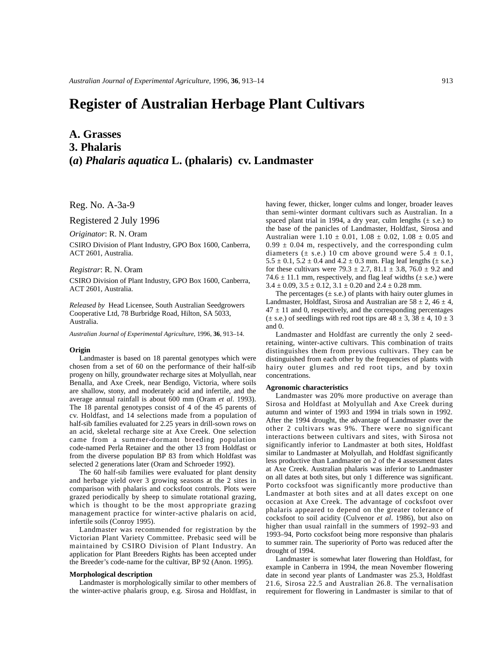# **Register of Australian Herbage Plant Cultivars**

## **A. Grasses 3. Phalaris (***a***)** *Phalaris aquatica* **L. (phalaris) cv. Landmaster**

Reg. No. A-3a-9

Registered 2 July 1996

*Originator*: R. N. Oram

CSIRO Division of Plant Industry, GPO Box 1600, Canberra, ACT 2601, Australia.

## *Registrar*: R. N. Oram

CSIRO Division of Plant Industry, GPO Box 1600, Canberra, ACT 2601, Australia.

*Released by* Head Licensee, South Australian Seedgrowers Cooperative Ltd, 78 Burbridge Road, Hilton, SA 5033, Australia.

*Australian Journal of Experimental Agriculture*, 1996, **36**, 913–14.

#### **Origin**

Landmaster is based on 18 parental genotypes which were chosen from a set of 60 on the performance of their half-sib progeny on hilly, groundwater recharge sites at Molyullah, near Benalla, and Axe Creek, near Bendigo, Victoria, where soils are shallow, stony, and moderately acid and infertile, and the average annual rainfall is about 600 mm (Oram *et al*. 1993). The 18 parental genotypes consist of 4 of the 45 parents of cv. Holdfast, and 14 selections made from a population of half-sib families evaluated for 2.25 years in drill-sown rows on an acid, skeletal recharge site at Axe Creek. One selection came from a summer-dormant breeding population code-named Perla Retainer and the other 13 from Holdfast or from the diverse population BP 83 from which Holdfast was selected 2 generations later (Oram and Schroeder 1992).

The 60 half-sib families were evaluated for plant density and herbage yield over 3 growing seasons at the 2 sites in comparison with phalaris and cocksfoot controls. Plots were grazed periodically by sheep to simulate rotational grazing, which is thought to be the most appropriate grazing management practice for winter-active phalaris on acid, infertile soils (Conroy 1995).

Landmaster was recommended for registration by the Victorian Plant Variety Committee. Prebasic seed will be maintained by CSIRO Division of Plant Industry. An application for Plant Breeders Rights has been accepted under the Breeder's code-name for the cultivar, BP 92 (Anon. 1995).

## **Morphological description**

Landmaster is morphologically similar to other members of the winter-active phalaris group, e.g. Sirosa and Holdfast, in having fewer, thicker, longer culms and longer, broader leaves than semi-winter dormant cultivars such as Australian. In a spaced plant trial in 1994, a dry year, culm lengths  $(\pm s.e.)$  to the base of the panicles of Landmaster, Holdfast, Sirosa and Australian were  $1.10 \pm 0.01$ ,  $1.08 \pm 0.02$ ,  $1.08 \pm 0.05$  and  $0.99 \pm 0.04$  m, respectively, and the corresponding culm diameters ( $\pm$  s.e.) 10 cm above ground were 5.4  $\pm$  0.1,  $5.5 \pm 0.1$ ,  $5.2 \pm 0.4$  and  $4.2 \pm 0.3$  mm. Flag leaf lengths ( $\pm$  s.e.) for these cultivars were  $79.3 \pm 2.7$ ,  $81.1 \pm 3.8$ ,  $76.0 \pm 9.2$  and 74.6  $\pm$  11.1 mm, respectively, and flag leaf widths ( $\pm$  s.e.) were  $3.4 \pm 0.09$ ,  $3.5 \pm 0.12$ ,  $3.1 \pm 0.20$  and  $2.4 \pm 0.28$  mm.

The percentages  $(\pm s.e.)$  of plants with hairy outer glumes in Landmaster, Holdfast, Sirosa and Australian are  $58 \pm 2$ ,  $46 \pm 4$ ,  $47 \pm 11$  and 0, respectively, and the corresponding percentages  $(\pm \text{ s.e.})$  of seedlings with red root tips are  $48 \pm 3$ ,  $38 \pm 4$ ,  $10 \pm 3$ and 0.

Landmaster and Holdfast are currently the only 2 seedretaining, winter-active cultivars. This combination of traits distinguishes them from previous cultivars. They can be distinguished from each other by the frequencies of plants with hairy outer glumes and red root tips, and by toxin concentrations.

#### **Agronomic characteristics**

Landmaster was 20% more productive on average than Sirosa and Holdfast at Molyullah and Axe Creek during autumn and winter of 1993 and 1994 in trials sown in 1992. After the 1994 drought, the advantage of Landmaster over the other 2 cultivars was 9%. There were no significant interactions between cultivars and sites, with Sirosa not significantly inferior to Landmaster at both sites, Holdfast similar to Landmaster at Molyullah, and Holdfast significantly less productive than Landmaster on 2 of the 4 assessment dates at Axe Creek. Australian phalaris was inferior to Landmaster on all dates at both sites, but only 1 difference was significant. Porto cocksfoot was significantly more productive than Landmaster at both sites and at all dates except on one occasion at Axe Creek. The advantage of cocksfoot over phalaris appeared to depend on the greater tolerance of cocksfoot to soil acidity (Culvenor *et al*. 1986), but also on higher than usual rainfall in the summers of 1992–93 and 1993–94, Porto cocksfoot being more responsive than phalaris to summer rain. The superiority of Porto was reduced after the drought of 1994.

Landmaster is somewhat later flowering than Holdfast, for example in Canberra in 1994, the mean November flowering date in second year plants of Landmaster was 25.3, Holdfast 21.6, Sirosa 22.5 and Australian 26.8. The vernalisation requirement for flowering in Landmaster is similar to that of